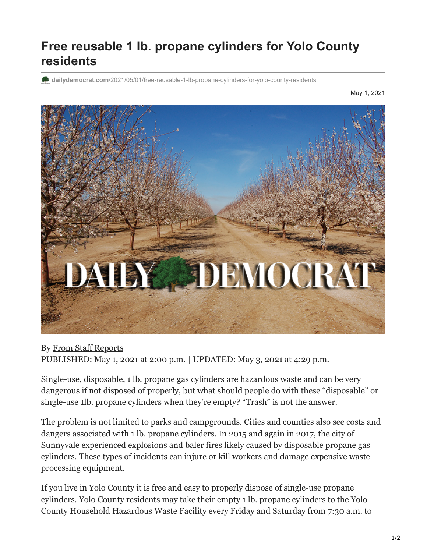## **Free reusable 1 lb. propane cylinders for Yolo County residents**

**dailydemocrat.com**[/2021/05/01/free-reusable-1-lb-propane-cylinders-for-yolo-county-residents](https://www.dailydemocrat.com/2021/05/01/free-reusable-1-lb-propane-cylinders-for-yolo-county-residents/)

May 1, 2021



By [From Staff Reports](https://www.dailydemocrat.com/author/from-staff-reports/) | PUBLISHED: May 1, 2021 at 2:00 p.m. | UPDATED: May 3, 2021 at 4:29 p.m.

Single-use, disposable, 1 lb. propane gas cylinders are hazardous waste and can be very dangerous if not disposed of properly, but what should people do with these "disposable" or single-use 1lb. propane cylinders when they're empty? "Trash" is not the answer.

The problem is not limited to parks and campgrounds. Cities and counties also see costs and dangers associated with 1 lb. propane cylinders. In 2015 and again in 2017, the city of Sunnyvale experienced explosions and baler fires likely caused by disposable propane gas cylinders. These types of incidents can injure or kill workers and damage expensive waste processing equipment.

If you live in Yolo County it is free and easy to properly dispose of single-use propane cylinders. Yolo County residents may take their empty 1 lb. propane cylinders to the Yolo County Household Hazardous Waste Facility every Friday and Saturday from 7:30 a.m. to